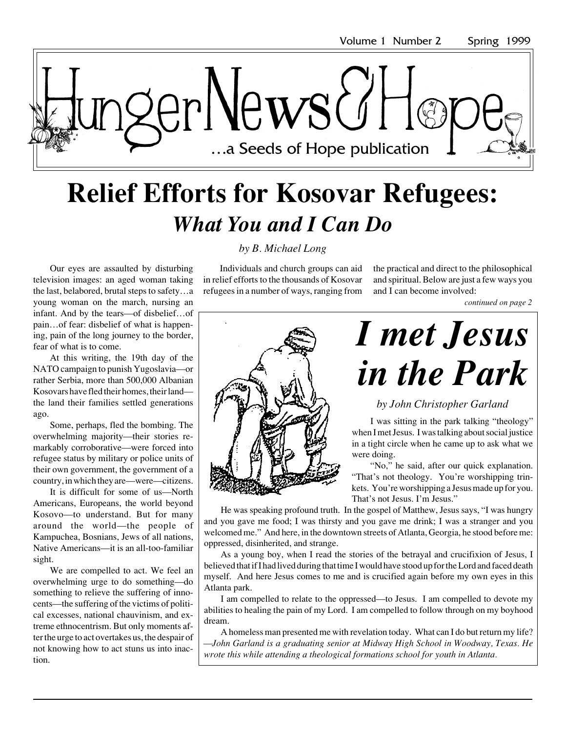

## **Relief Efforts for Kosovar Refugees:** *What You and I Can Do*

Our eyes are assaulted by disturbing television images: an aged woman taking the last, belabored, brutal steps to safety…a young woman on the march, nursing an infant. And by the tears—of disbelief…of pain…of fear: disbelief of what is happening, pain of the long journey to the border, fear of what is to come.

At this writing, the 19th day of the NATO campaign to punish Yugoslavia—or rather Serbia, more than 500,000 Albanian Kosovars have fled their homes, their land the land their families settled generations ago.

Some, perhaps, fled the bombing. The overwhelming majority—their stories remarkably corroborative—were forced into refugee status by military or police units of their own government, the government of a country, in which they are—were—citizens.

It is difficult for some of us—North Americans, Europeans, the world beyond Kosovo—to understand. But for many around the world—the people of Kampuchea, Bosnians, Jews of all nations, Native Americans—it is an all-too-familiar sight.

We are compelled to act. We feel an overwhelming urge to do something—do something to relieve the suffering of innocents—the suffering of the victims of political excesses, national chauvinism, and extreme ethnocentrism. But only moments after the urge to act overtakes us, the despair of not knowing how to act stuns us into inaction.

Individuals and church groups can aid in relief efforts to the thousands of Kosovar refugees in a number of ways, ranging from

*by B. Michael Long*

the practical and direct to the philosophical and spiritual. Below are just a few ways you and I can become involved:

*continued on page 2*



# *I met Jesus in the Park*

#### *by John Christopher Garland*

I was sitting in the park talking "theology" when I met Jesus. I was talking about social justice in a tight circle when he came up to ask what we were doing.

"No," he said, after our quick explanation. "That's not theology. You're worshipping trinkets. You're worshipping a Jesus made up for you. That's not Jesus. I'm Jesus."

He was speaking profound truth. In the gospel of Matthew, Jesus says, "I was hungry and you gave me food; I was thirsty and you gave me drink; I was a stranger and you welcomed me." And here, in the downtown streets of Atlanta, Georgia, he stood before me: oppressed, disinherited, and strange.

As a young boy, when I read the stories of the betrayal and crucifixion of Jesus, I believed that if I had lived during that time I would have stood up for the Lord and faced death myself. And here Jesus comes to me and is crucified again before my own eyes in this Atlanta park.

I am compelled to relate to the oppressed—to Jesus. I am compelled to devote my abilities to healing the pain of my Lord. I am compelled to follow through on my boyhood dream.

A homeless man presented me with revelation today. What can I do but return my life? *—John Garland is a graduating senior at Midway High School in Woodway, Texas. He wrote this while attending a theological formations school for youth in Atlanta.*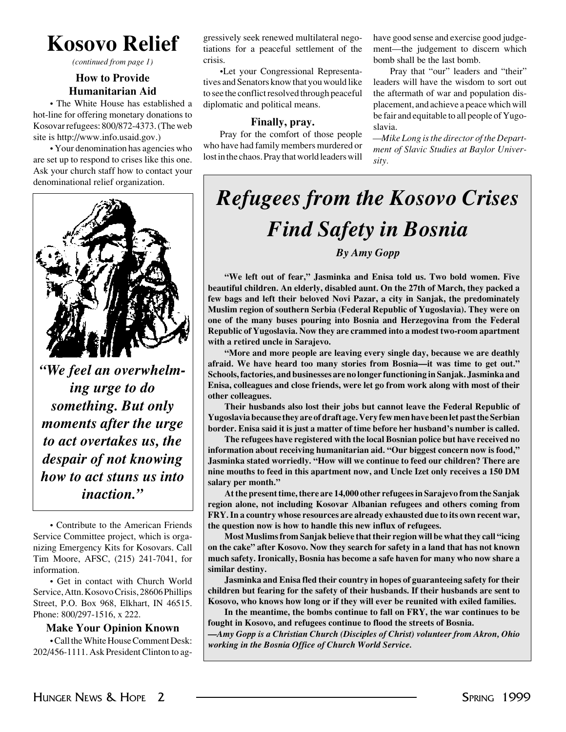**Kosovo Relief**

*(continued from page 1)*

#### **How to Provide Humanitarian Aid**

• The White House has established a hot-line for offering monetary donations to Kosovar refugees: 800/872-4373. (The web site is http://www.info.usaid.gov.)

• Your denomination has agencies who are set up to respond to crises like this one. Ask your church staff how to contact your denominational relief organization.



*"We feel an overwhelming urge to do something. But only moments after the urge to act overtakes us, the despair of not knowing how to act stuns us into inaction."*

• Contribute to the American Friends Service Committee project, which is organizing Emergency Kits for Kosovars. Call Tim Moore, AFSC, (215) 241-7041, for information.

• Get in contact with Church World Service, Attn. Kosovo Crisis, 28606 Phillips Street, P.O. Box 968, Elkhart, IN 46515. Phone: 800/297-1516, x 222.

#### **Make Your Opinion Known**

• Call the White House Comment Desk: 202/456-1111. Ask President Clinton to aggressively seek renewed multilateral negotiations for a peaceful settlement of the crisis.

•Let your Congressional Representatives and Senators know that you would like to see the conflict resolved through peaceful diplomatic and political means.

#### **Finally, pray.**

Pray for the comfort of those people who have had family members murdered or lost in the chaos. Pray that world leaders will have good sense and exercise good judgement—the judgement to discern which bomb shall be the last bomb.

Pray that "our" leaders and "their" leaders will have the wisdom to sort out the aftermath of war and population displacement, and achieve a peace which will be fair and equitable to all people of Yugoslavia.

*—Mike Long is the director of the Department of Slavic Studies at Baylor University.*

### *Refugees from the Kosovo Crises Find Safety in Bosnia By Amy Gopp*

**"We left out of fear," Jasminka and Enisa told us. Two bold women. Five beautiful children. An elderly, disabled aunt. On the 27th of March, they packed a few bags and left their beloved Novi Pazar, a city in Sanjak, the predominately Muslim region of southern Serbia (Federal Republic of Yugoslavia). They were on one of the many buses pouring into Bosnia and Herzegovina from the Federal Republic of Yugoslavia. Now they are crammed into a modest two-room apartment with a retired uncle in Sarajevo.**

**"More and more people are leaving every single day, because we are deathly afraid. We have heard too many stories from Bosnia—it was time to get out." Schools, factories, and businesses are no longer functioning in Sanjak. Jasminka and Enisa, colleagues and close friends, were let go from work along with most of their other colleagues.**

**Their husbands also lost their jobs but cannot leave the Federal Republic of Yugoslavia because they are of draft age. Very few men have been let past the Serbian border. Enisa said it is just a matter of time before her husband's number is called.**

**The refugees have registered with the local Bosnian police but have received no information about receiving humanitarian aid. "Our biggest concern now is food," Jasminka stated worriedly. "How will we continue to feed our children? There are nine mouths to feed in this apartment now, and Uncle Izet only receives a 150 DM salary per month."**

**At the present time, there are 14,000 other refugees in Sarajevo from the Sanjak region alone, not including Kosovar Albanian refugees and others coming from FRY. In a country whose resources are already exhausted due to its own recent war, the question now is how to handle this new influx of refugees.**

**Most Muslims from Sanjak believe that their region will be what they call "icing on the cake" after Kosovo. Now they search for safety in a land that has not known much safety. Ironically, Bosnia has become a safe haven for many who now share a similar destiny.**

**Jasminka and Enisa fled their country in hopes of guaranteeing safety for their children but fearing for the safety of their husbands. If their husbands are sent to Kosovo, who knows how long or if they will ever be reunited with exiled families.**

**In the meantime, the bombs continue to fall on FRY, the war continues to be fought in Kosovo, and refugees continue to flood the streets of Bosnia.**

*—Amy Gopp is a Christian Church (Disciples of Christ) volunteer from Akron, Ohio working in the Bosnia Office of Church World Service.*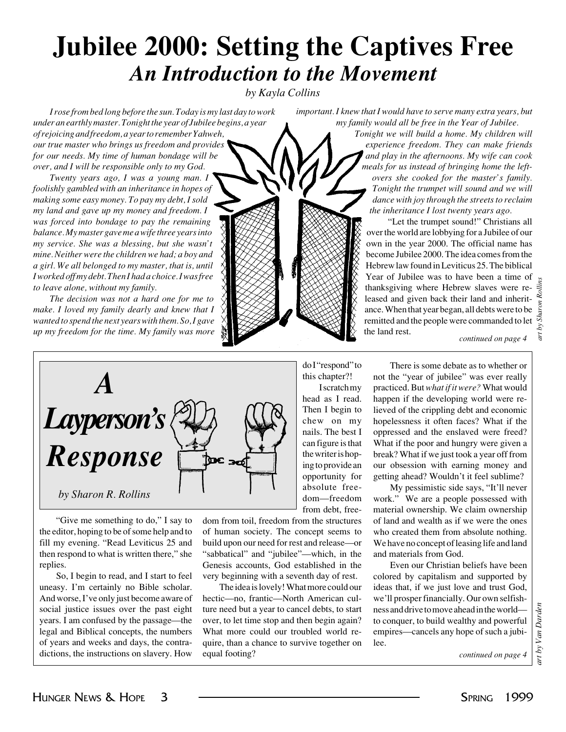## **Jubilee 2000: Setting the Captives Free** *An Introduction to the Movement*

*by Kayla Collins*

*I rose from bed long before the sun. Today is my last day to work under an earthly master. Tonight the year of Jubilee begins, a year of rejoicing and freedom, a year to remember Yahweh, our true master who brings us freedom and provides for our needs. My time of human bondage will be over, and I will be responsible only to my God.*

*Twenty years ago, I was a young man. I foolishly gambled with an inheritance in hopes of making some easy money. To pay my debt, I sold my land and gave up my money and freedom. I was forced into bondage to pay the remaining balance. My master gave me a wife three years into my service. She was a blessing, but she wasn't mine. Neither were the children we had; a boy and a girl. We all belonged to my master, that is, until I worked off my debt. Then I had a choice. I was free to leave alone, without my family.*

*The decision was not a hard one for me to make. I loved my family dearly and knew that I wanted to spend the next years with them. So, I gave up my freedom for the time. My family was more*



"Give me something to do," I say to the editor, hoping to be of some help and to fill my evening. "Read Leviticus 25 and then respond to what is written there," she replies.

So, I begin to read, and I start to feel uneasy. I'm certainly no Bible scholar. And worse, I've only just become aware of social justice issues over the past eight years. I am confused by the passage—the legal and Biblical concepts, the numbers of years and weeks and days, the contradictions, the instructions on slavery. How

dom from toil, freedom from the structures of human society. The concept seems to build upon our need for rest and release—or "sabbatical" and "jubilee"—which, in the Genesis accounts, God established in the very beginning with a seventh day of rest.

The idea is lovely! What more could our hectic—no, frantic—North American culture need but a year to cancel debts, to start over, to let time stop and then begin again? What more could our troubled world require, than a chance to survive together on equal footing?

*important. I knew that I would have to serve many extra years, but my family would all be free in the Year of Jubilee.*

> *Tonight we will build a home. My children will experience freedom. They can make friends and play in the afternoons. My wife can cook meals for us instead of bringing home the leftovers she cooked for the master's family. Tonight the trumpet will sound and we will dance with joy through the streets to reclaim the inheritance I lost twenty years ago.*

"Let the trumpet sound!" Christians all over the world are lobbying for a Jubilee of our own in the year 2000. The official name has become Jubilee 2000. The idea comes from the Hebrew law found in Leviticus 25. The biblical Year of Jubilee was to have been a time of thanksgiving where Hebrew slaves were released and given back their land and inheritance. When that year began, all debts were to be remitted and the people were commanded to let the land rest.

*continued on page 4*

*art by Sharon Rollins*

 $\overline{a}$ 

aron Rollins

do I "respond" to this chapter?!

I scratch my head as I read. Then I begin to chew on my nails. The best I can figure is that the writer is hoping to provide an opportunity for absolute freedom—freedom from debt, free-

There is some debate as to whether or not the "year of jubilee" was ever really practiced. But *what if it were?* What would happen if the developing world were relieved of the crippling debt and economic hopelessness it often faces? What if the oppressed and the enslaved were freed? What if the poor and hungry were given a break? What if we just took a year off from our obsession with earning money and getting ahead? Wouldn't it feel sublime?

My pessimistic side says, "It'll never work." We are a people possessed with material ownership. We claim ownership of land and wealth as if we were the ones who created them from absolute nothing. We have no concept of leasing life and land and materials from God.

Even our Christian beliefs have been colored by capitalism and supported by ideas that, if we just love and trust God, we'll prosper financially. Our own selfishness and drive to move ahead in the world to conquer, to build wealthy and powerful empires—cancels any hope of such a jubilee.

*continued on page 4*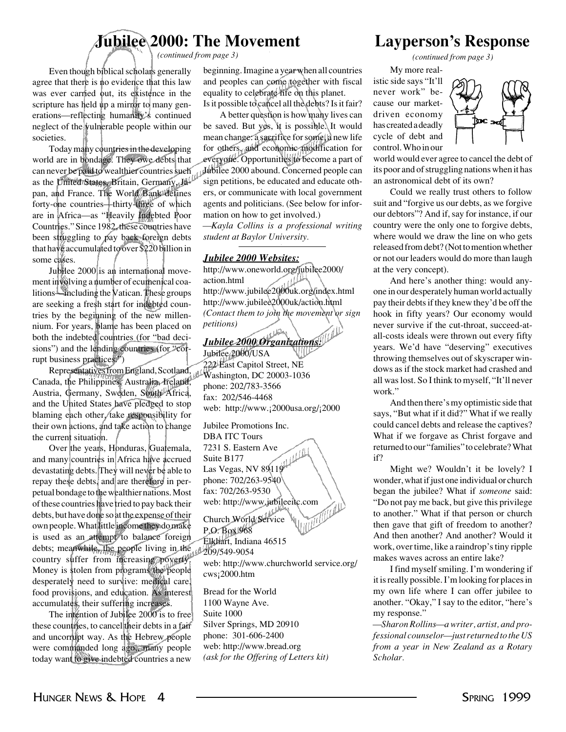### **Jubilee 2000: The Movement**

*(continued from page 3) (continued from page 3)*

Even though biblical scholars generally agree that there is no evidence that this law was ever carried but, its existence in the scripture has held up a mirror to many generations—reflecting humanity's continued neglect of the vulnerable people within our societies.

Today many countries in the developing world are in bondage. They owe debts that can never be paid to wealthier countries such Jubilee 2000 abound. Concerned people can as the United States, Britain, Germany, Japan, and France. The World Bank defines forty-one countries—thirty-three of which are in Africa—as "Heavily Indebted Poor Countries." Since 1982, these countries have been struggling to pay back foreign debts that have accumulated to over \$220 billion in some cases.

Jubilee 2000 is an international movement involving a number of ecumenical coalitions—including the Vatican. These groups are seeking a fresh start for indebted countries by the beginning of the new millennium. For years, blame has been placed on both the indebted countries (for "bad decisions") and the lending countries (for "corrupt business practices.")

Representatives from England, Scotland, Canada, the Philippines, Australia, Ireland, Austria, Germany, Sweden, South Africa, and the United States have pledged to stop blaming each other, take responsibility for their own actions, and take action to change the current situation.

Over the years, Honduras, Guatemala, and many countries in Africa have accrued devastating debts. They will never be able to repay these debts, and are therefore in perpetual bondage to the wealthier nations. Most of these countries have tried to pay back their debts, but have done so at the expense of their own people. What little income they do make is used as an attempt to balance foreign debts; meanwhile, the people living in the country suffer from increasing poverty. Money is stolen from programs the people desperately need to survive: medical care, food provisions, and education. As interest accumulates, their suffering increases.

The intention of Jubilee 2000 is to free these countries, to cancel their debts in a fair and uncorrupt way. As the Hebrew people were commanded long ago,, many people today want to give indebted countries a new

beginning. Imagine a year when all countries and peoples can come together with fiscal equality to celebrate life on this planet. Is it possible to cancel all the debts? Is it fair?

A better question is how many lives can be saved. But yes, it is possible. It would mean change: a sacrifice for some, a new life for others, and economic modification for everyone. Opportunities to become a part of sign petitions, be educated and educate others, or communicate with local government agents and politicians. (See below for information on how to get involved.)

*—Kayla Collins is a professional writing student at Baylor University.*

#### *Jubilee 2000 Websites:*

http://www.oneworld.org/jubilee2000/ action.html http://www.jubilee2000uk.org/index.html http://www.jubilee2000uk/action.html *(Contact them to join the movement or sign petitions)*

*Jubilee 2000 Organizations:*

Jubilee 2000/USA 222 East Capitol Street, NE Washington, DC 20003-1036 phone: 202/783-3566 fax: 202/546-4468 web: http://www.¡2000usa.org/¡2000

Jubilee Promotions Inc. DBA ITC Tours 7231 S. Eastern Ave úЩ Suite B177 Las Vegas, NV 89119 phone: 702/263-9540 fax: 702/263-9530 web: http://www.jubileeitc.com Church World Service P.O. Box 968 Elkhart, Indiana 46515 209/549-9054 web: http://www.churchworld service.org/ cws¡2000.htm Bread for the World 1100 Wayne Ave.

Suite 1000 Silver Springs, MD 20910 phone: 301-606-2400 web: http://www.bread.org *(ask for the Offering of Letters kit)*

### **Layperson's Response**

My more realistic side says "It'll never work" because our marketdriven economy has created a deadly cycle of debt and control. Who in our



world would ever agree to cancel the debt of its poor and of struggling nations when it has an astronomical debt of its own?

Could we really trust others to follow suit and "forgive us our debts, as we forgive our debtors"? And if, say for instance, if our country were the only one to forgive debts, where would we draw the line on who gets released from debt? (Not to mention whether or not our leaders would do more than laugh at the very concept).

And here's another thing: would anyone in our desperately human world actually pay their debts if they knew they'd be off the hook in fifty years? Our economy would never survive if the cut-throat, succeed-atall-costs ideals were thrown out every fifty years. We'd have "deserving" executives throwing themselves out of skyscraper windows as if the stock market had crashed and all was lost. So I think to myself, "It'll never work."

And then there's my optimistic side that says, "But what if it did?" What if we really could cancel debts and release the captives? What if we forgave as Christ forgave and returned to our "families" to celebrate? What if?

Might we? Wouldn't it be lovely? I wonder, what if just one individual or church began the jubilee? What if *someone* said: "Do not pay me back, but give this privilege to another." What if that person or church then gave that gift of freedom to another? And then another? And another? Would it work, over time, like a raindrop's tiny ripple makes waves across an entire lake?

I find myself smiling. I'm wondering if it is really possible. I'm looking for places in my own life where I can offer jubilee to another. "Okay," I say to the editor, "here's my response."

*—Sharon Rollins—a writer, artist, and professional counselor—just returned to the US from a year in New Zealand as a Rotary Scholar.*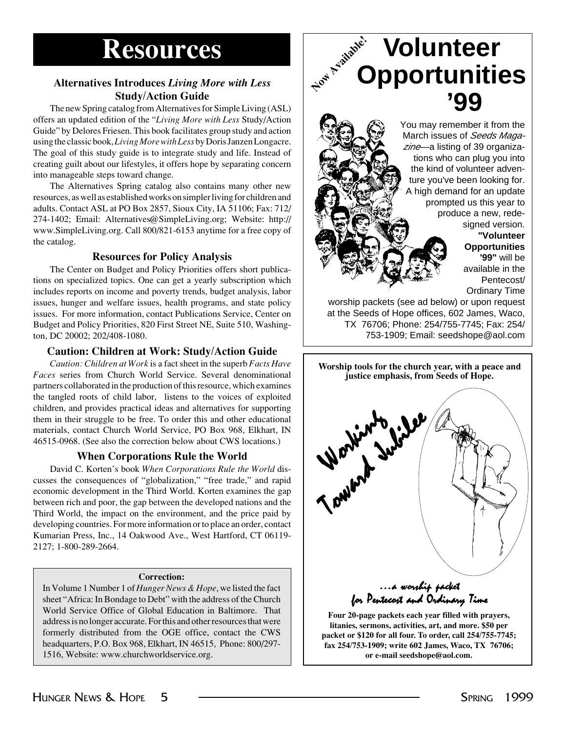## **Resources**<br>
Ness Introduces Living More **Alternatives Introduces** *Living More with Less* **Study/Action Guide**

The new Spring catalog from Alternatives for Simple Living (ASL) offers an updated edition of the "*Living More with Less* Study/Action Guide" by Delores Friesen. This book facilitates group study and action using the classic book, *Living More with Less* by Doris Janzen Longacre. The goal of this study guide is to integrate study and life. Instead of creating guilt about our lifestyles, it offers hope by separating concern into manageable steps toward change.

The Alternatives Spring catalog also contains many other new resources, as well as established works on simpler living for children and adults. Contact ASL at PO Box 2857, Sioux City, IA 51106; Fax: 712/ 274-1402; Email: Alternatives@SimpleLiving.org; Website: http:// www.SimpleLiving.org. Call 800/821-6153 anytime for a free copy of the catalog.

#### **Resources for Policy Analysis**

The Center on Budget and Policy Priorities offers short publications on specialized topics. One can get a yearly subscription which includes reports on income and poverty trends, budget analysis, labor issues, hunger and welfare issues, health programs, and state policy issues. For more information, contact Publications Service, Center on Budget and Policy Priorities, 820 First Street NE, Suite 510, Washington, DC 20002; 202/408-1080.

#### **Caution: Children at Work: Study/Action Guide**

*Caution: Children at Work* is a fact sheet in the superb *Facts Have Faces* series from Church World Service. Several denominational partners collaborated in the production of this resource, which examines the tangled roots of child labor, listens to the voices of exploited children, and provides practical ideas and alternatives for supporting them in their struggle to be free. To order this and other educational materials, contact Church World Service, PO Box 968, Elkhart, IN 46515-0968. (See also the correction below about CWS locations.)

#### **When Corporations Rule the World**

David C. Korten's book *When Corporations Rule the World* discusses the consequences of "globalization," "free trade," and rapid economic development in the Third World. Korten examines the gap between rich and poor, the gap between the developed nations and the Third World, the impact on the environment, and the price paid by developing countries. For more information or to place an order, contact Kumarian Press, Inc., 14 Oakwood Ave., West Hartford, CT 06119- 2127; 1-800-289-2664.

#### **Correction:**

In Volume 1 Number 1 of *Hunger News & Hope*, we listed the fact sheet "Africa: In Bondage to Debt" with the address of the Church World Service Office of Global Education in Baltimore. That address is no longer accurate. For this and other resources that were formerly distributed from the OGE office, contact the CWS headquarters, P.O. Box 968, Elkhart, IN 46515, Phone: 800/297- 1516, Website: www.churchworldservice.org.

## **Volunteer Opportunities '99**

You may remember it from the March issues of *Seeds Magazine*—a listing of 39 organizations who can plug you into the kind of volunteer adventure you've been looking for. A high demand for an update prompted us this year to produce a new, redesigned version.

> **"Volunteer Opportunities '99"** will be available in the Pentecost/ Ordinary Time

worship packets (see ad below) or upon request at the Seeds of Hope offices, 602 James, Waco, TX 76706; Phone: 254/755-7745; Fax: 254/ 753-1909; Email: seedshope@aol.com

**Worship tools for the church year, with a peace and justice emphasis, from Seeds of Hope.**

 $\ldots$ a worship packet for Pentecost and Ordinary Time Toward Jubilee

**Four 20-page packets each year filled with prayers, litanies, sermons, activities, art, and more. \$50 per packet or \$120 for all four. To order, call 254/755-7745; fax 254/753-1909; write 602 James, Waco, TX 76706; or e-mail seedshope@aol.com.**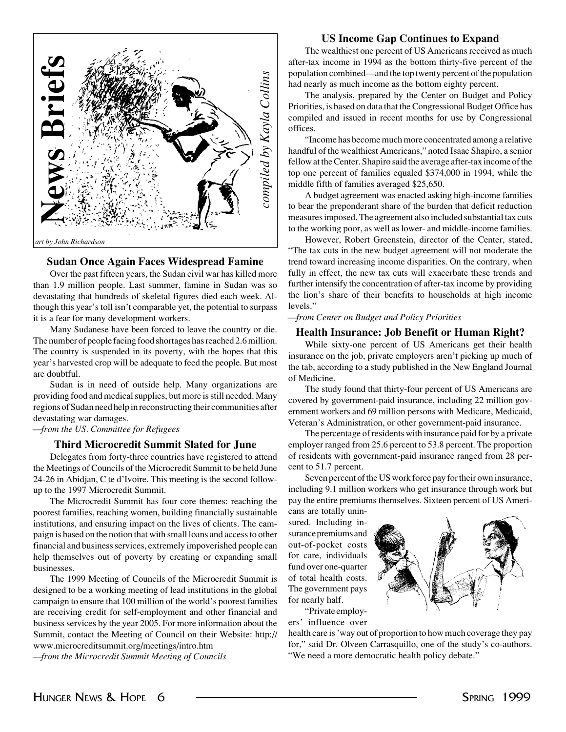

#### **Sudan Once Again Faces Widespread Famine**

Over the past fifteen years, the Sudan civil war has killed more than 1.9 million people. Last summer, famine in Sudan was so devastating that hundreds of skeletal figures died each week. Although this year's toll isn't comparable yet, the potential to surpass it is a fear for many development workers.

Many Sudanese have been forced to leave the country or die. The number of people facing food shortages has reached 2.6 million. The country is suspended in its poverty, with the hopes that this year's harvested crop will be adequate to feed the people. But most are doubtful.

Sudan is in need of outside help. Many organizations are providing food and medical supplies, but more is still needed. Many regions of Sudan need help in reconstructing their communities after devastating war damages.

*—from the US. Committee for Refugees*

#### **Third Microcredit Summit Slated for June**

Delegates from forty-three countries have registered to attend the Meetings of Councils of the Microcredit Summit to be held June 24-26 in Abidjan, C te d'Ivoire. This meeting is the second followup to the 1997 Microcredit Summit.

The Microcredit Summit has four core themes: reaching the poorest families, reaching women, building financially sustainable institutions, and ensuring impact on the lives of clients. The campaign is based on the notion that with small loans and access to other financial and business services, extremely impoverished people can help themselves out of poverty by creating or expanding small businesses.

The 1999 Meeting of Councils of the Microcredit Summit is designed to be a working meeting of lead institutions in the global campaign to ensure that 100 million of the world's poorest families are receiving credit for self-employment and other financial and business services by the year 2005. For more information about the Summit, contact the Meeting of Council on their Website: http:// www.microcreditsummit.org/meetings/intro.htm

*—from the Microcredit Summit Meeting of Councils*

#### **US Income Gap Continues to Expand**

The wealthiest one percent of US Americans received as much after-tax income in 1994 as the bottom thirty-five percent of the population combined—and the top twenty percent of the population had nearly as much income as the bottom eighty percent.

The analysis, prepared by the Center on Budget and Policy Priorities, is based on data that the Congressional Budget Office has compiled and issued in recent months for use by Congressional offices.

"Income has become much more concentrated among a relative handful of the wealthiest Americans," noted Isaac Shapiro, a senior fellow at the Center. Shapiro said the average after-tax income of the top one percent of families equaled \$374,000 in 1994, while the middle fifth of families averaged \$25,650.

A budget agreement was enacted asking high-income families to bear the preponderant share of the burden that deficit reduction measures imposed. The agreement also included substantial tax cuts to the working poor, as well as lower- and middle-income families.

However, Robert Greenstein, director of the Center, stated, "The tax cuts in the new budget agreement will not moderate the trend toward increasing income disparities. On the contrary, when fully in effect, the new tax cuts will exacerbate these trends and further intensify the concentration of after-tax income by providing the lion's share of their benefits to households at high income levels."

#### *—from Center on Budget and Policy Priorities*

#### **Health Insurance: Job Benefit or Human Right?**

While sixty-one percent of US Americans get their health insurance on the job, private employers aren't picking up much of the tab, according to a study published in the New England Journal of Medicine.

The study found that thirty-four percent of US Americans are covered by government-paid insurance, including 22 million government workers and 69 million persons with Medicare, Medicaid, Veteran's Administration, or other government-paid insurance.

The percentage of residents with insurance paid for by a private employer ranged from 25.6 percent to 53.8 percent. The proportion of residents with government-paid insurance ranged from 28 percent to 51.7 percent.

Seven percent of the US work force pay for their own insurance, including 9.1 million workers who get insurance through work but pay the entire premiums themselves. Sixteen percent of US Americans are totally unin-

sured. Including insurance premiums and out-of-pocket costs for care, individuals fund over one-quarter of total health costs. The government pays for nearly half. "Private employ-

ers' influence over



health care is 'way out of proportion to how much coverage they pay for," said Dr. Olveen Carrasquillo, one of the study's co-authors. "We need a more democratic health policy debate."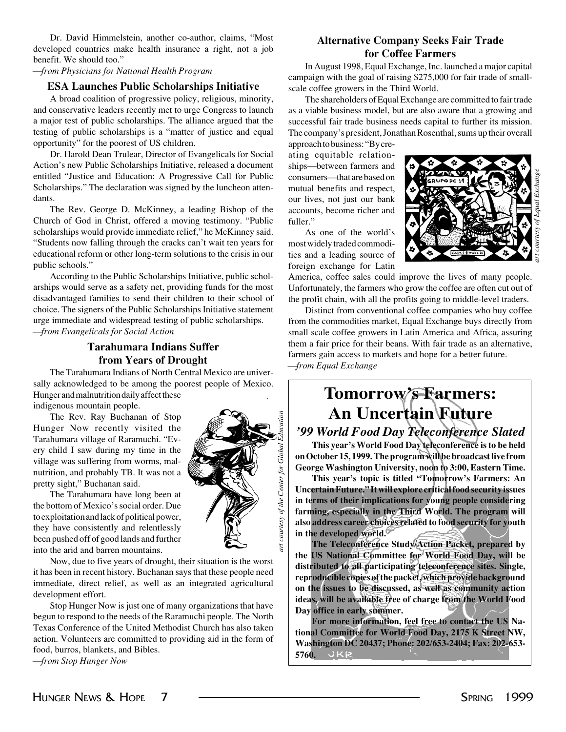*art courtesy of Equal Exchange*

Dr. David Himmelstein, another co-author, claims, "Most developed countries make health insurance a right, not a job benefit. We should too."

#### *—from Physicians for National Health Program*

#### **ESA Launches Public Scholarships Initiative**

A broad coalition of progressive policy, religious, minority, and conservative leaders recently met to urge Congress to launch a major test of public scholarships. The alliance argued that the testing of public scholarships is a "matter of justice and equal opportunity" for the poorest of US children.

Dr. Harold Dean Trulear, Director of Evangelicals for Social Action's new Public Scholarships Initiative, released a document entitled "Justice and Education: A Progressive Call for Public Scholarships." The declaration was signed by the luncheon attendants.

The Rev. George D. McKinney, a leading Bishop of the Church of God in Christ, offered a moving testimony. "Public scholarships would provide immediate relief," he McKinney said. "Students now falling through the cracks can't wait ten years for educational reform or other long-term solutions to the crisis in our public schools."

According to the Public Scholarships Initiative, public scholarships would serve as a safety net, providing funds for the most disadvantaged families to send their children to their school of choice. The signers of the Public Scholarships Initiative statement urge immediate and widespread testing of public scholarships. *—from Evangelicals for Social Action*

#### **Tarahumara Indians Suffer from Years of Drought**

The Tarahumara Indians of North Central Mexico are universally acknowledged to be among the poorest people of Mexico. Hunger and malnutrition daily affect these indigenous mountain people.

The Rev. Ray Buchanan of Stop Hunger Now recently visited the Tarahumara village of Raramuchi. "Every child I saw during my time in the village was suffering from worms, malnutrition, and probably TB. It was not a pretty sight," Buchanan said.

The Tarahumara have long been at the bottom of Mexico's social order. Due to exploitation and lack of political power, they have consistently and relentlessly been pushed off of good lands and further into the arid and barren mountains.

Now, due to five years of drought, their situation is the worst it has been in recent history. Buchanan says that these people need immediate, direct relief, as well as an integrated agricultural development effort.

Stop Hunger Now is just one of many organizations that have begun to respond to the needs of the Raramuchi people. The North Texas Conference of the United Methodist Church has also taken action. Volunteers are committed to providing aid in the form of food, burros, blankets, and Bibles.

*—from Stop Hunger Now*

courtesy of the Center for Global Education *art courtesy of the Center for Global Education*art.

#### **Alternative Company Seeks Fair Trade for Coffee Farmers**

In August 1998, Equal Exchange, Inc. launched a major capital campaign with the goal of raising \$275,000 for fair trade of smallscale coffee growers in the Third World.

The shareholders of Equal Exchange are committed to fair trade as a viable business model, but are also aware that a growing and successful fair trade business needs capital to further its mission. The company's president, Jonathan Rosenthal, sums up their overall

approach to business: "By creating equitable relationships—between farmers and consumers—that are based on mutual benefits and respect, our lives, not just our bank accounts, become richer and fuller."

As one of the world's most widely traded commodities and a leading source of foreign exchange for Latin



America, coffee sales could improve the lives of many people. Unfortunately, the farmers who grow the coffee are often cut out of the profit chain, with all the profits going to middle-level traders.

Distinct from conventional coffee companies who buy coffee from the commodities market, Equal Exchange buys directly from small scale coffee growers in Latin America and Africa, assuring them a fair price for their beans. With fair trade as an alternative, farmers gain access to markets and hope for a better future. *—from Equal Exchange*

### **Tomorrow's Farmers: An Uncertain Future** *'99 World Food Day Teleconference Slated*

**This year's World Food Day teleconference is to be held**

**on October 15, 1999. The program will be broadcast live from George Washington University, noon to 3:00, Eastern Time.**

**This year's topic is titled "Tomorrow's Farmers: An Uncertain Future." It will explore critical food security issues in terms of their implications for young people considering farming, especially in the Third World. The program will also address career choices related to food security for youth in the developed world.**

**The Teleconference Study/Action Packet, prepared by the US National Committee for World Food Day, will be distributed to all participating teleconference sites. Single, reproducible copies of the packet, which provide background on the issues to be discussed, as well as community action ideas, will be available free of charge from the World Food Day office in early summer.**

**For more information, feel free to contact the US National Committee for World Food Day, 2175 K Street NW, Washington DC 20437; Phone: 202/653-2404; Fax: 202-653- 5760.**